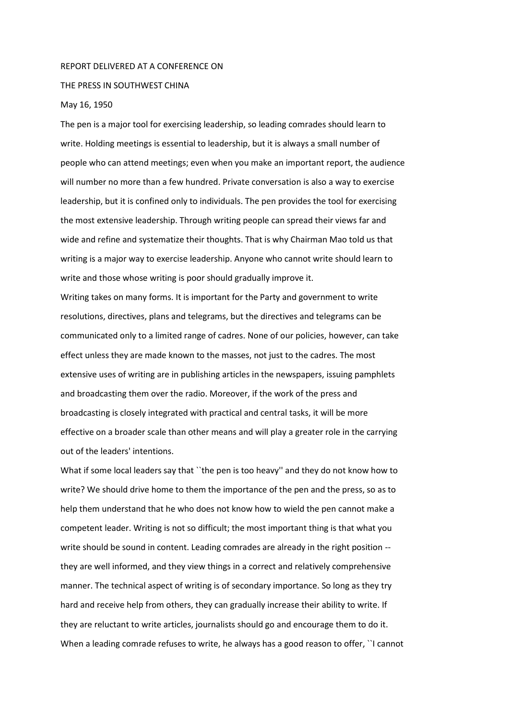## REPORT DELIVERED AT A CONFERENCE ON

## THE PRESS IN SOUTHWEST CHINA

## May 16, 1950

The pen is a major tool for exercising leadership, so leading comrades should learn to write. Holding meetings is essential to leadership, but it is always a small number of people who can attend meetings; even when you make an important report, the audience will number no more than a few hundred. Private conversation is also a way to exercise leadership, but it is confined only to individuals. The pen provides the tool for exercising the most extensive leadership. Through writing people can spread their views far and wide and refine and systematize their thoughts. That is why Chairman Mao told us that writing is a major way to exercise leadership. Anyone who cannot write should learn to write and those whose writing is poor should gradually improve it.

Writing takes on many forms. It is important for the Party and government to write resolutions, directives, plans and telegrams, but the directives and telegrams can be communicated only to a limited range of cadres. None of our policies, however, can take effect unless they are made known to the masses, not just to the cadres. The most extensive uses of writing are in publishing articles in the newspapers, issuing pamphlets and broadcasting them over the radio. Moreover, if the work of the press and broadcasting is closely integrated with practical and central tasks, it will be more effective on a broader scale than other means and will play a greater role in the carrying out of the leaders' intentions.

What if some local leaders say that ``the pen is too heavy'' and they do not know how to write? We should drive home to them the importance of the pen and the press, so as to help them understand that he who does not know how to wield the pen cannot make a competent leader. Writing is not so difficult; the most important thing is that what you write should be sound in content. Leading comrades are already in the right position - they are well informed, and they view things in a correct and relatively comprehensive manner. The technical aspect of writing is of secondary importance. So long as they try hard and receive help from others, they can gradually increase their ability to write. If they are reluctant to write articles, journalists should go and encourage them to do it. When a leading comrade refuses to write, he always has a good reason to offer, "I cannot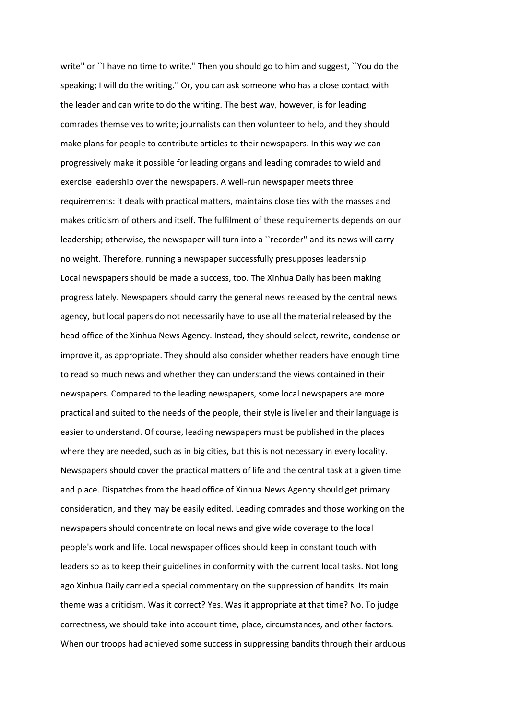write'' or ``I have no time to write.'' Then you should go to him and suggest, ``You do the speaking; I will do the writing.'' Or, you can ask someone who has a close contact with the leader and can write to do the writing. The best way, however, is for leading comrades themselves to write; journalists can then volunteer to help, and they should make plans for people to contribute articles to their newspapers. In this way we can progressively make it possible for leading organs and leading comrades to wield and exercise leadership over the newspapers. A well-run newspaper meets three requirements: it deals with practical matters, maintains close ties with the masses and makes criticism of others and itself. The fulfilment of these requirements depends on our leadership; otherwise, the newspaper will turn into a ``recorder'' and its news will carry no weight. Therefore, running a newspaper successfully presupposes leadership. Local newspapers should be made a success, too. The Xinhua Daily has been making progress lately. Newspapers should carry the general news released by the central news agency, but local papers do not necessarily have to use all the material released by the head office of the Xinhua News Agency. Instead, they should select, rewrite, condense or improve it, as appropriate. They should also consider whether readers have enough time to read so much news and whether they can understand the views contained in their newspapers. Compared to the leading newspapers, some local newspapers are more practical and suited to the needs of the people, their style is livelier and their language is easier to understand. Of course, leading newspapers must be published in the places where they are needed, such as in big cities, but this is not necessary in every locality. Newspapers should cover the practical matters of life and the central task at a given time and place. Dispatches from the head office of Xinhua News Agency should get primary consideration, and they may be easily edited. Leading comrades and those working on the newspapers should concentrate on local news and give wide coverage to the local people's work and life. Local newspaper offices should keep in constant touch with leaders so as to keep their guidelines in conformity with the current local tasks. Not long ago Xinhua Daily carried a special commentary on the suppression of bandits. Its main theme was a criticism. Was it correct? Yes. Was it appropriate at that time? No. To judge correctness, we should take into account time, place, circumstances, and other factors. When our troops had achieved some success in suppressing bandits through their arduous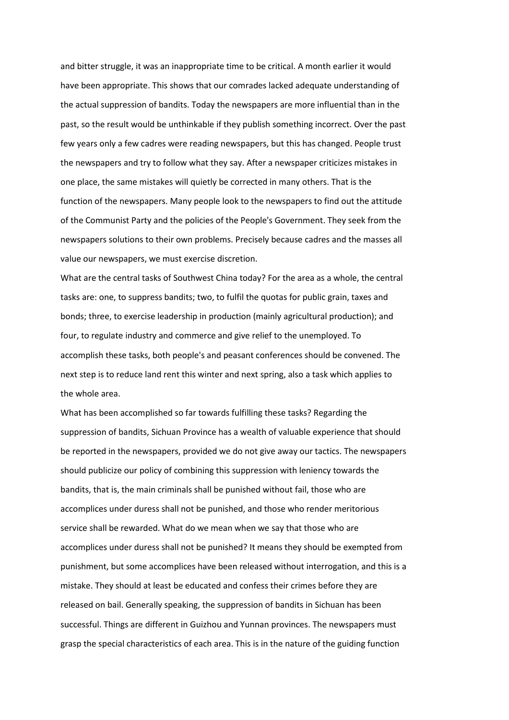and bitter struggle, it was an inappropriate time to be critical. A month earlier it would have been appropriate. This shows that our comrades lacked adequate understanding of the actual suppression of bandits. Today the newspapers are more influential than in the past, so the result would be unthinkable if they publish something incorrect. Over the past few years only a few cadres were reading newspapers, but this has changed. People trust the newspapers and try to follow what they say. After a newspaper criticizes mistakes in one place, the same mistakes will quietly be corrected in many others. That is the function of the newspapers. Many people look to the newspapers to find out the attitude of the Communist Party and the policies of the People's Government. They seek from the newspapers solutions to their own problems. Precisely because cadres and the masses all value our newspapers, we must exercise discretion.

What are the central tasks of Southwest China today? For the area as a whole, the central tasks are: one, to suppress bandits; two, to fulfil the quotas for public grain, taxes and bonds; three, to exercise leadership in production (mainly agricultural production); and four, to regulate industry and commerce and give relief to the unemployed. To accomplish these tasks, both people's and peasant conferences should be convened. The next step is to reduce land rent this winter and next spring, also a task which applies to the whole area.

What has been accomplished so far towards fulfilling these tasks? Regarding the suppression of bandits, Sichuan Province has a wealth of valuable experience that should be reported in the newspapers, provided we do not give away our tactics. The newspapers should publicize our policy of combining this suppression with leniency towards the bandits, that is, the main criminals shall be punished without fail, those who are accomplices under duress shall not be punished, and those who render meritorious service shall be rewarded. What do we mean when we say that those who are accomplices under duress shall not be punished? It means they should be exempted from punishment, but some accomplices have been released without interrogation, and this is a mistake. They should at least be educated and confess their crimes before they are released on bail. Generally speaking, the suppression of bandits in Sichuan has been successful. Things are different in Guizhou and Yunnan provinces. The newspapers must grasp the special characteristics of each area. This is in the nature of the guiding function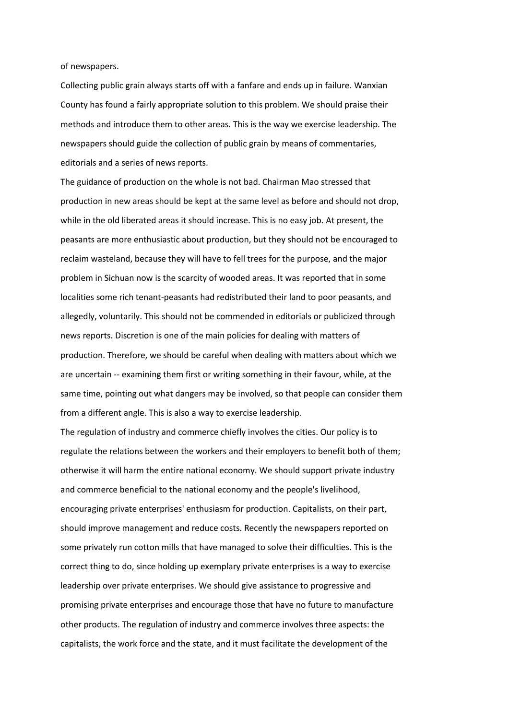of newspapers.

Collecting public grain always starts off with a fanfare and ends up in failure. Wanxian County has found a fairly appropriate solution to this problem. We should praise their methods and introduce them to other areas. This is the way we exercise leadership. The newspapers should guide the collection of public grain by means of commentaries, editorials and a series of news reports.

The guidance of production on the whole is not bad. Chairman Mao stressed that production in new areas should be kept at the same level as before and should not drop, while in the old liberated areas it should increase. This is no easy job. At present, the peasants are more enthusiastic about production, but they should not be encouraged to reclaim wasteland, because they will have to fell trees for the purpose, and the major problem in Sichuan now is the scarcity of wooded areas. It was reported that in some localities some rich tenant-peasants had redistributed their land to poor peasants, and allegedly, voluntarily. This should not be commended in editorials or publicized through news reports. Discretion is one of the main policies for dealing with matters of production. Therefore, we should be careful when dealing with matters about which we are uncertain -- examining them first or writing something in their favour, while, at the same time, pointing out what dangers may be involved, so that people can consider them from a different angle. This is also a way to exercise leadership.

The regulation of industry and commerce chiefly involves the cities. Our policy is to regulate the relations between the workers and their employers to benefit both of them; otherwise it will harm the entire national economy. We should support private industry and commerce beneficial to the national economy and the people's livelihood, encouraging private enterprises' enthusiasm for production. Capitalists, on their part, should improve management and reduce costs. Recently the newspapers reported on some privately run cotton mills that have managed to solve their difficulties. This is the correct thing to do, since holding up exemplary private enterprises is a way to exercise leadership over private enterprises. We should give assistance to progressive and promising private enterprises and encourage those that have no future to manufacture other products. The regulation of industry and commerce involves three aspects: the capitalists, the work force and the state, and it must facilitate the development of the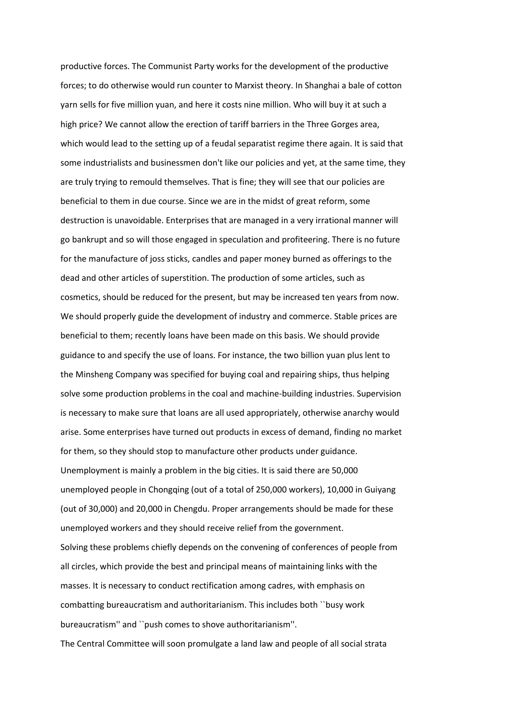productive forces. The Communist Party works for the development of the productive forces; to do otherwise would run counter to Marxist theory. In Shanghai a bale of cotton yarn sells for five million yuan, and here it costs nine million. Who will buy it at such a high price? We cannot allow the erection of tariff barriers in the Three Gorges area, which would lead to the setting up of a feudal separatist regime there again. It is said that some industrialists and businessmen don't like our policies and yet, at the same time, they are truly trying to remould themselves. That is fine; they will see that our policies are beneficial to them in due course. Since we are in the midst of great reform, some destruction is unavoidable. Enterprises that are managed in a very irrational manner will go bankrupt and so will those engaged in speculation and profiteering. There is no future for the manufacture of joss sticks, candles and paper money burned as offerings to the dead and other articles of superstition. The production of some articles, such as cosmetics, should be reduced for the present, but may be increased ten years from now. We should properly guide the development of industry and commerce. Stable prices are beneficial to them; recently loans have been made on this basis. We should provide guidance to and specify the use of loans. For instance, the two billion yuan plus lent to the Minsheng Company was specified for buying coal and repairing ships, thus helping solve some production problems in the coal and machine-building industries. Supervision is necessary to make sure that loans are all used appropriately, otherwise anarchy would arise. Some enterprises have turned out products in excess of demand, finding no market for them, so they should stop to manufacture other products under guidance. Unemployment is mainly a problem in the big cities. It is said there are 50,000 unemployed people in Chongqing (out of a total of 250,000 workers), 10,000 in Guiyang (out of 30,000) and 20,000 in Chengdu. Proper arrangements should be made for these unemployed workers and they should receive relief from the government. Solving these problems chiefly depends on the convening of conferences of people from all circles, which provide the best and principal means of maintaining links with the masses. It is necessary to conduct rectification among cadres, with emphasis on combatting bureaucratism and authoritarianism. This includes both ``busy work bureaucratism'' and ``push comes to shove authoritarianism''. The Central Committee will soon promulgate a land law and people of all social strata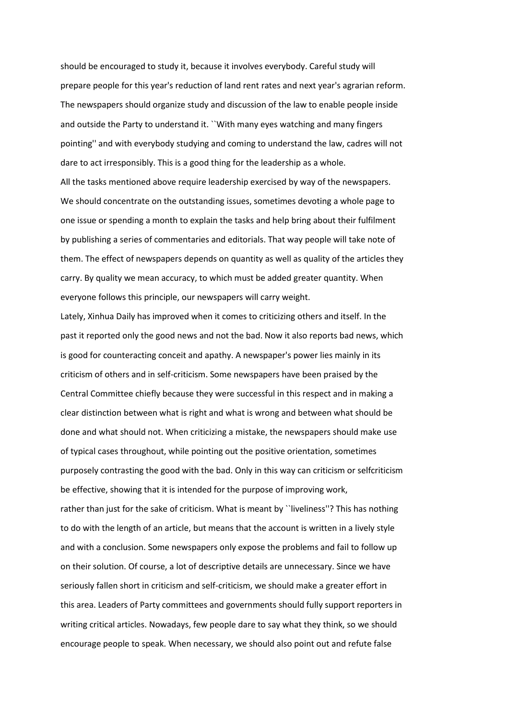should be encouraged to study it, because it involves everybody. Careful study will prepare people for this year's reduction of land rent rates and next year's agrarian reform. The newspapers should organize study and discussion of the law to enable people inside and outside the Party to understand it. ``With many eyes watching and many fingers pointing'' and with everybody studying and coming to understand the law, cadres will not dare to act irresponsibly. This is a good thing for the leadership as a whole. All the tasks mentioned above require leadership exercised by way of the newspapers. We should concentrate on the outstanding issues, sometimes devoting a whole page to one issue or spending a month to explain the tasks and help bring about their fulfilment by publishing a series of commentaries and editorials. That way people will take note of them. The effect of newspapers depends on quantity as well as quality of the articles they carry. By quality we mean accuracy, to which must be added greater quantity. When everyone follows this principle, our newspapers will carry weight.

Lately, Xinhua Daily has improved when it comes to criticizing others and itself. In the past it reported only the good news and not the bad. Now it also reports bad news, which is good for counteracting conceit and apathy. A newspaper's power lies mainly in its criticism of others and in self-criticism. Some newspapers have been praised by the Central Committee chiefly because they were successful in this respect and in making a clear distinction between what is right and what is wrong and between what should be done and what should not. When criticizing a mistake, the newspapers should make use of typical cases throughout, while pointing out the positive orientation, sometimes purposely contrasting the good with the bad. Only in this way can criticism or selfcriticism be effective, showing that it is intended for the purpose of improving work, rather than just for the sake of criticism. What is meant by "liveliness"? This has nothing to do with the length of an article, but means that the account is written in a lively style and with a conclusion. Some newspapers only expose the problems and fail to follow up on their solution. Of course, a lot of descriptive details are unnecessary. Since we have seriously fallen short in criticism and self-criticism, we should make a greater effort in this area. Leaders of Party committees and governments should fully support reporters in writing critical articles. Nowadays, few people dare to say what they think, so we should encourage people to speak. When necessary, we should also point out and refute false